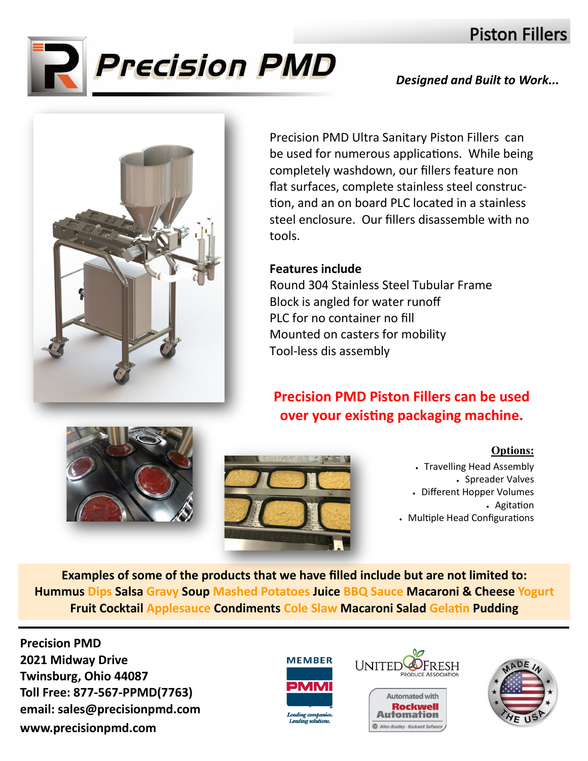# **Piston Fillers**



### *Designed and Built to Work...*



Precision PMD Ultra Sanitary Piston Fillers can be used for numerous applications. While being completely washdown, our fillers feature non flat surfaces, complete stainless steel construction, and an on board PLC located in a stainless steel enclosure. Our fillers disassemble with no tools.

### **Features include**

Round 304 Stainless Steel Tubular Frame Block is angled for water runoff PLC for no container no fill Mounted on casters for mobility Tool-less dis assembly

## **Precision PMD Piston Fillers can be used over your existing packaging machine.**





### **Options:**

• Travelling Head Assembly • Spreader Valves • Different Hopper Volumes • Agitation • Multiple Head Configurations

**Examples of some of the products that we have filled include but are not limited to: Hummus Dips Salsa Gravy Soup Mashed Potatoes Juice BBQ Sauce Macaroni & Cheese Yogurt Fruit Cocktail Applesauce Condiments Cole Slaw Macaroni Salad Gelatin Pudding**

**Precision PMD 2021 Midway Drive Twinsburg, Ohio 44087 Toll Free: 877-567-PPMD(7763) email: sales@precisionpmd.com www.precisionpmd.com**